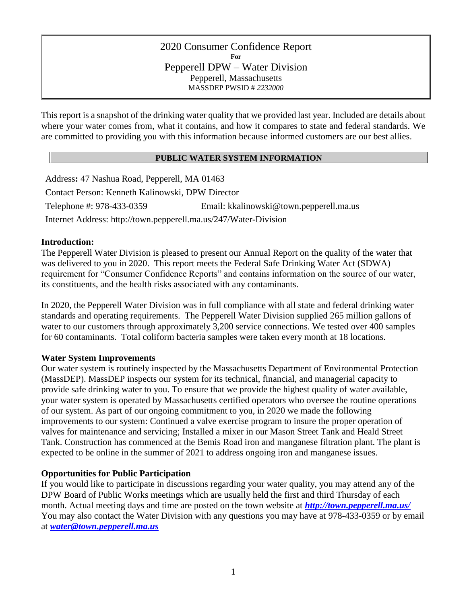## 2020 Consumer Confidence Report **For** Pepperell DPW – Water Division Pepperell, Massachusetts MASSDEP PWSID # *2232000*

This report is a snapshot of the drinking water quality that we provided last year. Included are details about where your water comes from, what it contains, and how it compares to state and federal standards. We are committed to providing you with this information because informed customers are our best allies.

## **PUBLIC WATER SYSTEM INFORMATION**

Address**:** 47 Nashua Road, Pepperell, MA 01463 Contact Person: Kenneth Kalinowski, DPW Director Telephone #: 978-433-0359 Email: kkalinowski@town.pepperell.ma.us Internet Address: http://town.pepperell.ma.us/247/Water-Division

### **Introduction:**

The Pepperell Water Division is pleased to present our Annual Report on the quality of the water that was delivered to you in 2020. This report meets the Federal Safe Drinking Water Act (SDWA) requirement for "Consumer Confidence Reports" and contains information on the source of our water, its constituents, and the health risks associated with any contaminants.

In 2020, the Pepperell Water Division was in full compliance with all state and federal drinking water standards and operating requirements. The Pepperell Water Division supplied 265 million gallons of water to our customers through approximately 3,200 service connections. We tested over 400 samples for 60 contaminants. Total coliform bacteria samples were taken every month at 18 locations.

# **Water System Improvements**

Our water system is routinely inspected by the Massachusetts Department of Environmental Protection (MassDEP). MassDEP inspects our system for its technical, financial, and managerial capacity to provide safe drinking water to you. To ensure that we provide the highest quality of water available, your water system is operated by Massachusetts certified operators who oversee the routine operations of our system. As part of our ongoing commitment to you, in 2020 we made the following improvements to our system: Continued a valve exercise program to insure the proper operation of valves for maintenance and servicing; Installed a mixer in our Mason Street Tank and Heald Street Tank. Construction has commenced at the Bemis Road iron and manganese filtration plant. The plant is expected to be online in the summer of 2021 to address ongoing iron and manganese issues.

# **Opportunities for Public Participation**

If you would like to participate in discussions regarding your water quality, you may attend any of the DPW Board of Public Works meetings which are usually held the first and third Thursday of each month. Actual meeting days and time are posted on the town website at *<http://town.pepperell.ma.us/>* You may also contact the Water Division with any questions you may have at 978-433-0359 or by email at *[water@town.pepperell.ma.us](mailto:water@town.pepperell.ma.us)*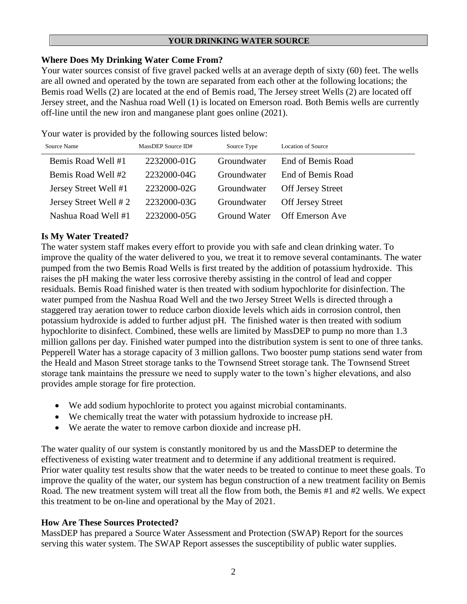#### **YOUR DRINKING WATER SOURCE**

## **Where Does My Drinking Water Come From?**

Your water sources consist of five gravel packed wells at an average depth of sixty (60) feet. The wells are all owned and operated by the town are separated from each other at the following locations; the Bemis road Wells (2) are located at the end of Bemis road, The Jersey street Wells (2) are located off Jersey street, and the Nashua road Well (1) is located on Emerson road. Both Bemis wells are currently off-line until the new iron and manganese plant goes online (2021).

Your water is provided by the following sources listed below:

| Source Name           | MassDEP Source ID# | Source Type  | <b>Location of Source</b> |
|-----------------------|--------------------|--------------|---------------------------|
| Bemis Road Well #1    | 2232000-01G        | Groundwater  | End of Bemis Road         |
| Bemis Road Well #2    | 2232000-04G        | Groundwater  | End of Bemis Road         |
| Jersey Street Well #1 | 2232000-02G        | Groundwater  | <b>Off Jersey Street</b>  |
| Jersey Street Well #2 | 2232000-03G        | Groundwater  | <b>Off Jersey Street</b>  |
| Nashua Road Well #1   | 2232000-05G        | Ground Water | <b>Off Emerson Ave</b>    |

# **Is My Water Treated?**

The water system staff makes every effort to provide you with safe and clean drinking water. To improve the quality of the water delivered to you, we treat it to remove several contaminants. The water pumped from the two Bemis Road Wells is first treated by the addition of potassium hydroxide. This raises the pH making the water less corrosive thereby assisting in the control of lead and copper residuals. Bemis Road finished water is then treated with sodium hypochlorite for disinfection. The water pumped from the Nashua Road Well and the two Jersey Street Wells is directed through a staggered tray aeration tower to reduce carbon dioxide levels which aids in corrosion control, then potassium hydroxide is added to further adjust pH. The finished water is then treated with sodium hypochlorite to disinfect. Combined, these wells are limited by MassDEP to pump no more than 1.3 million gallons per day. Finished water pumped into the distribution system is sent to one of three tanks. Pepperell Water has a storage capacity of 3 million gallons. Two booster pump stations send water from the Heald and Mason Street storage tanks to the Townsend Street storage tank. The Townsend Street storage tank maintains the pressure we need to supply water to the town's higher elevations, and also provides ample storage for fire protection.

- We add sodium hypochlorite to protect you against microbial contaminants.
- We chemically treat the water with potassium hydroxide to increase pH.
- We aerate the water to remove carbon dioxide and increase pH.

The water quality of our system is constantly monitored by us and the MassDEP to determine the effectiveness of existing water treatment and to determine if any additional treatment is required. Prior water quality test results show that the water needs to be treated to continue to meet these goals. To improve the quality of the water, our system has begun construction of a new treatment facility on Bemis Road. The new treatment system will treat all the flow from both, the Bemis #1 and #2 wells. We expect this treatment to be on-line and operational by the May of 2021.

# **How Are These Sources Protected?**

MassDEP has prepared a Source Water Assessment and Protection (SWAP) Report for the sources serving this water system. The SWAP Report assesses the susceptibility of public water supplies.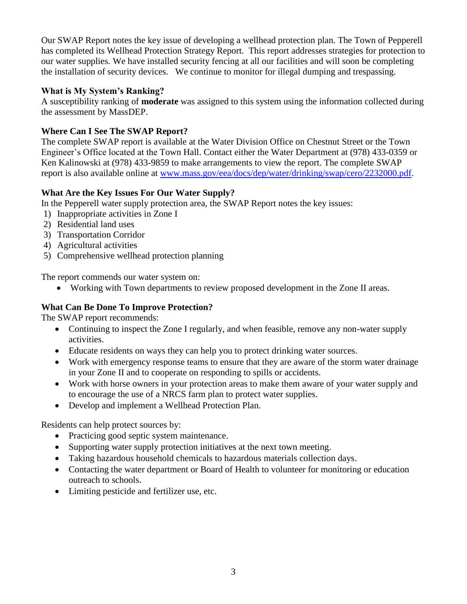Our SWAP Report notes the key issue of developing a wellhead protection plan. The Town of Pepperell has completed its Wellhead Protection Strategy Report. This report addresses strategies for protection to our water supplies. We have installed security fencing at all our facilities and will soon be completing the installation of security devices.We continue to monitor for illegal dumping and trespassing.

# **What is My System's Ranking?**

A susceptibility ranking of **moderate** was assigned to this system using the information collected during the assessment by MassDEP.

# **Where Can I See The SWAP Report?**

The complete SWAP report is available at the Water Division Office on Chestnut Street or the Town Engineer's Office located at the Town Hall. Contact either the Water Department at (978) 433-0359 or Ken Kalinowski at (978) 433-9859 to make arrangements to view the report. The complete SWAP report is also available online at [www.mass.gov/eea/docs/dep/water/drinking/swap/cero/2232000.pdf.](http://www.mass.gov/eea/docs/dep/water/drinking/swap/cero/2232000.pdf)

# **What Are the Key Issues For Our Water Supply?**

In the Pepperell water supply protection area, the SWAP Report notes the key issues:

- 1) Inappropriate activities in Zone I
- 2) Residential land uses
- 3) Transportation Corridor
- 4) Agricultural activities
- 5) Comprehensive wellhead protection planning

The report commends our water system on:

• Working with Town departments to review proposed development in the Zone II areas.

# **What Can Be Done To Improve Protection?**

The SWAP report recommends:

- Continuing to inspect the Zone I regularly, and when feasible, remove any non-water supply activities.
- Educate residents on ways they can help you to protect drinking water sources.
- Work with emergency response teams to ensure that they are aware of the storm water drainage in your Zone II and to cooperate on responding to spills or accidents.
- Work with horse owners in your protection areas to make them aware of your water supply and to encourage the use of a NRCS farm plan to protect water supplies.
- Develop and implement a Wellhead Protection Plan.

Residents can help protect sources by:

- Practicing good septic system maintenance.
- Supporting water supply protection initiatives at the next town meeting.
- Taking hazardous household chemicals to hazardous materials collection days.
- Contacting the water department or Board of Health to volunteer for monitoring or education outreach to schools.
- Limiting pesticide and fertilizer use, etc.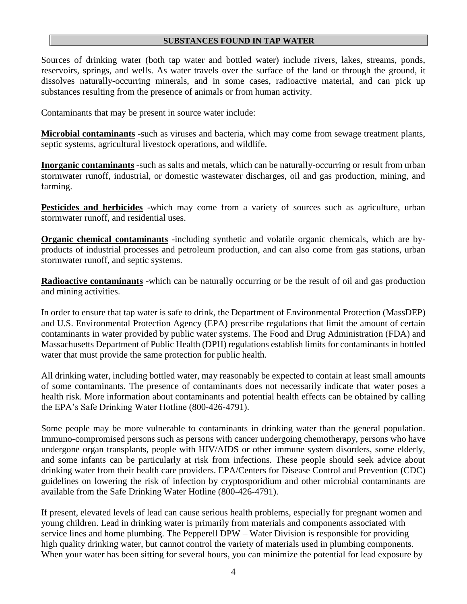#### **SUBSTANCES FOUND IN TAP WATER**

Sources of drinking water (both tap water and bottled water) include rivers, lakes, streams, ponds, reservoirs, springs, and wells. As water travels over the surface of the land or through the ground, it dissolves naturally-occurring minerals, and in some cases, radioactive material, and can pick up substances resulting from the presence of animals or from human activity.

Contaminants that may be present in source water include:

**Microbial contaminants** -such as viruses and bacteria, which may come from sewage treatment plants, septic systems, agricultural livestock operations, and wildlife.

**Inorganic contaminants** -such as salts and metals, which can be naturally-occurring or result from urban stormwater runoff, industrial, or domestic wastewater discharges, oil and gas production, mining, and farming.

**Pesticides and herbicides** -which may come from a variety of sources such as agriculture, urban stormwater runoff, and residential uses.

**Organic chemical contaminants** -including synthetic and volatile organic chemicals, which are byproducts of industrial processes and petroleum production, and can also come from gas stations, urban stormwater runoff, and septic systems.

**Radioactive contaminants** -which can be naturally occurring or be the result of oil and gas production and mining activities.

In order to ensure that tap water is safe to drink, the Department of Environmental Protection (MassDEP) and U.S. Environmental Protection Agency (EPA) prescribe regulations that limit the amount of certain contaminants in water provided by public water systems. The Food and Drug Administration (FDA) and Massachusetts Department of Public Health (DPH) regulations establish limits for contaminants in bottled water that must provide the same protection for public health.

All drinking water, including bottled water, may reasonably be expected to contain at least small amounts of some contaminants. The presence of contaminants does not necessarily indicate that water poses a health risk. More information about contaminants and potential health effects can be obtained by calling the EPA's Safe Drinking Water Hotline (800-426-4791).

Some people may be more vulnerable to contaminants in drinking water than the general population. Immuno-compromised persons such as persons with cancer undergoing chemotherapy, persons who have undergone organ transplants, people with HIV/AIDS or other immune system disorders, some elderly, and some infants can be particularly at risk from infections. These people should seek advice about drinking water from their health care providers. EPA/Centers for Disease Control and Prevention (CDC) guidelines on lowering the risk of infection by cryptosporidium and other microbial contaminants are available from the Safe Drinking Water Hotline (800-426-4791).

If present, elevated levels of lead can cause serious health problems, especially for pregnant women and young children. Lead in drinking water is primarily from materials and components associated with service lines and home plumbing. The Pepperell DPW – Water Division is responsible for providing high quality drinking water, but cannot control the variety of materials used in plumbing components. When your water has been sitting for several hours, you can minimize the potential for lead exposure by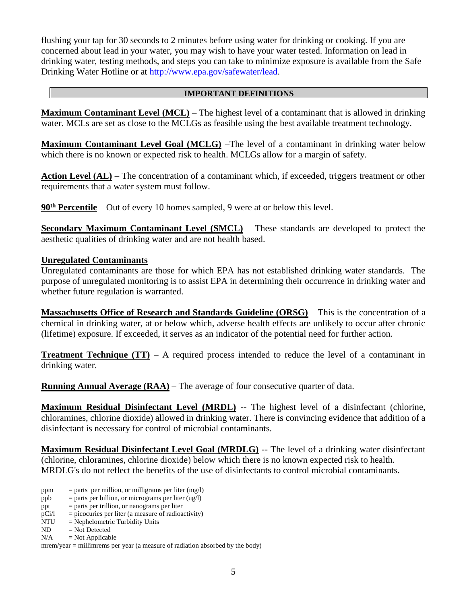flushing your tap for 30 seconds to 2 minutes before using water for drinking or cooking. If you are concerned about lead in your water, you may wish to have your water tested. Information on lead in drinking water, testing methods, and steps you can take to minimize exposure is available from the Safe Drinking Water Hotline or at [http://www.epa.gov/safewater/lead.](http://www.epa.gov/safewater/lead)

#### **IMPORTANT DEFINITIONS**

**Maximum Contaminant Level (MCL)** – The highest level of a contaminant that is allowed in drinking water. MCLs are set as close to the MCLGs as feasible using the best available treatment technology.

**Maximum Contaminant Level Goal (MCLG)** –The level of a contaminant in drinking water below which there is no known or expected risk to health. MCLGs allow for a margin of safety.

Action Level (AL) – The concentration of a contaminant which, if exceeded, triggers treatment or other requirements that a water system must follow.

**90th Percentile** – Out of every 10 homes sampled, 9 were at or below this level.

**Secondary Maximum Contaminant Level (SMCL)** – These standards are developed to protect the aesthetic qualities of drinking water and are not health based.

### **Unregulated Contaminants**

Unregulated contaminants are those for which EPA has not established drinking water standards. The purpose of unregulated monitoring is to assist EPA in determining their occurrence in drinking water and whether future regulation is warranted.

**Massachusetts Office of Research and Standards Guideline (ORSG)** – This is the concentration of a chemical in drinking water, at or below which, adverse health effects are unlikely to occur after chronic (lifetime) exposure. If exceeded, it serves as an indicator of the potential need for further action.

**Treatment Technique (TT)** – A required process intended to reduce the level of a contaminant in drinking water.

**Running Annual Average (RAA)** – The average of four consecutive quarter of data.

**Maximum Residual Disinfectant Level (MRDL) --** The highest level of a disinfectant (chlorine, chloramines, chlorine dioxide) allowed in drinking water. There is convincing evidence that addition of a disinfectant is necessary for control of microbial contaminants.

**Maximum Residual Disinfectant Level Goal (MRDLG)** -- The level of a drinking water disinfectant (chlorine, chloramines, chlorine dioxide) below which there is no known expected risk to health. MRDLG's do not reflect the benefits of the use of disinfectants to control microbial contaminants.

- ppm  $=$  parts per million, or milligrams per liter (mg/l)
- ppb  $=$  parts per billion, or micrograms per liter (ug/l)
- ppt = parts per trillion, or nanograms per liter
- $pCi/1$  = picocuries per liter (a measure of radioactivity)
- $NTU = Nephelometric Turbidity Units$
- ND = Not Detected
- $N/A$  = Not Applicable

mrem/year = millimrems per year (a measure of radiation absorbed by the body)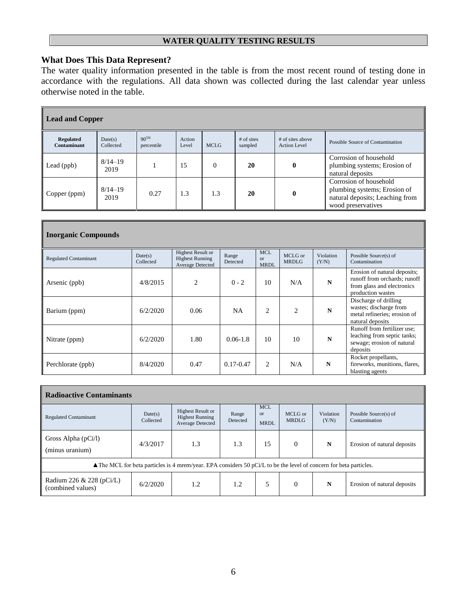## **WATER QUALITY TESTING RESULTS**

# **What Does This Data Represent?**

The water quality information presented in the table is from the most recent round of testing done in accordance with the regulations. All data shown was collected during the last calendar year unless otherwise noted in the table.

| <b>Lead and Copper</b>                 |                      |                                |                 |             |                         |                                         |                                                                                                                 |  |  |
|----------------------------------------|----------------------|--------------------------------|-----------------|-------------|-------------------------|-----------------------------------------|-----------------------------------------------------------------------------------------------------------------|--|--|
| <b>Regulated</b><br><b>Contaminant</b> | Date(s)<br>Collected | 90 <sup>TH</sup><br>percentile | Action<br>Level | <b>MCLG</b> | $#$ of sites<br>sampled | # of sites above<br><b>Action Level</b> | Possible Source of Contamination                                                                                |  |  |
| Lead (ppb)                             | $8/14 - 19$<br>2019  |                                | 15              | $\Omega$    | 20                      | $\mathbf{0}$                            | Corrosion of household<br>plumbing systems; Erosion of<br>natural deposits                                      |  |  |
| Copper (ppm)                           | $8/14 - 19$<br>2019  | 0.27                           | 1.3             | 1.3         | 20                      | 0                                       | Corrosion of household<br>plumbing systems; Erosion of<br>natural deposits; Leaching from<br>wood preservatives |  |  |

| <b>Inorganic Compounds</b>   |                      |                                                                 |                   |                                        |                         |                    |                                                                                                                 |
|------------------------------|----------------------|-----------------------------------------------------------------|-------------------|----------------------------------------|-------------------------|--------------------|-----------------------------------------------------------------------------------------------------------------|
| <b>Regulated Contaminant</b> | Date(s)<br>Collected | Highest Result or<br><b>Highest Running</b><br>Average Detected | Range<br>Detected | <b>MCL</b><br><b>or</b><br><b>MRDL</b> | MCLG or<br><b>MRDLG</b> | Violation<br>(Y/N) | Possible Source(s) of<br>Contamination                                                                          |
| Arsenic (ppb)                | 4/8/2015             | $\overline{c}$                                                  | $0 - 2$           | 10                                     | N/A                     | N                  | Erosion of natural deposits;<br>runoff from orchards; runoff<br>from glass and electronics<br>production wastes |
| Barium (ppm)                 | 6/2/2020             | 0.06                                                            | <b>NA</b>         | $\overline{c}$                         | $\overline{c}$          | N                  | Discharge of drilling<br>wastes; discharge from<br>metal refineries; erosion of<br>natural deposits             |
| Nitrate (ppm)                | 6/2/2020             | 1.80                                                            | $0.06 - 1.8$      | 10                                     | 10                      | N                  | Runoff from fertilizer use;<br>leaching from septic tanks;<br>sewage; erosion of natural<br>deposits            |
| Perchlorate (ppb)            | 8/4/2020             | 0.47                                                            | $0.17 - 0.47$     | $\overline{c}$                         | N/A                     | N                  | Rocket propellants,<br>fireworks, munitions, flares,<br>blasting agents                                         |

| <b>Radioactive Contaminants</b>                                                                                              |                      |                                                                        |                   |                                        |                         |                    |                                        |  |  |
|------------------------------------------------------------------------------------------------------------------------------|----------------------|------------------------------------------------------------------------|-------------------|----------------------------------------|-------------------------|--------------------|----------------------------------------|--|--|
| <b>Regulated Contaminant</b>                                                                                                 | Date(s)<br>Collected | <b>Highest Result or</b><br><b>Highest Running</b><br>Average Detected | Range<br>Detected | <b>MCL</b><br><b>or</b><br><b>MRDL</b> | MCLG or<br><b>MRDLG</b> | Violation<br>(Y/N) | Possible Source(s) of<br>Contamination |  |  |
| Gross Alpha $(pCi/l)$<br>(minus uranium)                                                                                     | 4/3/2017             | 1.3                                                                    | 1.3               | 15                                     | $\mathbf{0}$            | N                  | Erosion of natural deposits            |  |  |
| $\triangle$ The MCL for beta particles is 4 mrem/year. EPA considers 50 pCi/L to be the level of concern for beta particles. |                      |                                                                        |                   |                                        |                         |                    |                                        |  |  |
| Radium 226 & 228 (pCi/L)<br>(combined values)                                                                                | 6/2/2020             | 1.2                                                                    | 1.2               | 5                                      | $\Omega$                | N                  | Erosion of natural deposits            |  |  |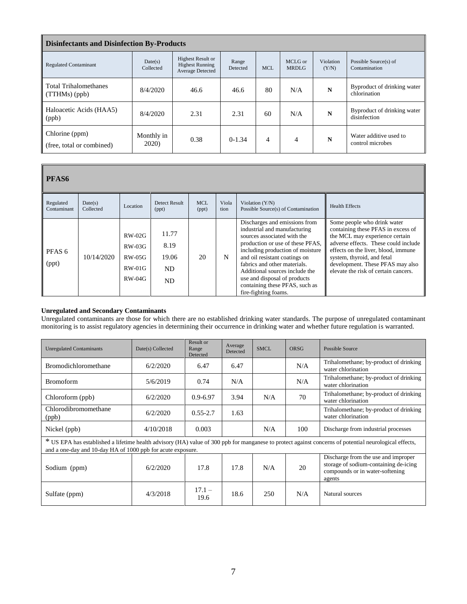| <b>Disinfectants and Disinfection By-Products</b> |                             |                                                                        |                   |            |                         |                    |                                             |  |
|---------------------------------------------------|-----------------------------|------------------------------------------------------------------------|-------------------|------------|-------------------------|--------------------|---------------------------------------------|--|
| <b>Regulated Contaminant</b>                      | Date(s)<br>Collected        | <b>Highest Result or</b><br><b>Highest Running</b><br>Average Detected | Range<br>Detected | <b>MCL</b> | MCLG or<br><b>MRDLG</b> | Violation<br>(Y/N) | Possible Source(s) of<br>Contamination      |  |
| <b>Total Trihalomethanes</b><br>$(TTHMs)$ (ppb)   | 8/4/2020                    | 46.6                                                                   | 46.6              | 80         | N/A                     | N                  | Byproduct of drinking water<br>chlorination |  |
| Haloacetic Acids (HAA5)<br>(ppb)                  | 8/4/2020                    | 2.31                                                                   | 2.31              | 60         | N/A                     | N                  | Byproduct of drinking water<br>disinfection |  |
| Chlorine (ppm)<br>(free, total or combined)       | Monthly in<br><b>2020</b> ) | 0.38                                                                   | $0-1.34$          | 4          | $\overline{4}$          | N                  | Water additive used to<br>control microbes  |  |

| <b>PFAS6</b>               |                      |                                                           |                                    |                     |               |                                                                                                                                                                                                                                                                                                                                                                   |                                                                                                                                                                                                                                                                                              |
|----------------------------|----------------------|-----------------------------------------------------------|------------------------------------|---------------------|---------------|-------------------------------------------------------------------------------------------------------------------------------------------------------------------------------------------------------------------------------------------------------------------------------------------------------------------------------------------------------------------|----------------------------------------------------------------------------------------------------------------------------------------------------------------------------------------------------------------------------------------------------------------------------------------------|
| Regulated<br>Contaminant   | Date(s)<br>Collected | Location                                                  | <b>Detect Result</b><br>(ppt)      | <b>MCL</b><br>(ppt) | Viola<br>tion | Violation $(Y/N)$<br>Possible Source(s) of Contamination                                                                                                                                                                                                                                                                                                          | <b>Health Effects</b>                                                                                                                                                                                                                                                                        |
| PFAS <sub>6</sub><br>(ppt) | 10/14/2020           | $RW-02G$<br>$RW-03G$<br>$RW-0.5G$<br>$RW-01G$<br>$RW-04G$ | 11.77<br>8.19<br>19.06<br>ND<br>ND | 20                  | N             | Discharges and emissions from<br>industrial and manufacturing<br>sources associated with the<br>production or use of these PFAS,<br>including production of moisture<br>and oil resistant coatings on<br>fabrics and other materials.<br>Additional sources include the<br>use and disposal of products<br>containing these PFAS, such as<br>fire-fighting foams. | Some people who drink water<br>containing these PFAS in excess of<br>the MCL may experience certain<br>adverse effects. These could include<br>effects on the liver, blood, immune<br>system, thyroid, and fetal<br>development. These PFAS may also<br>elevate the risk of certain cancers. |

#### **Unregulated and Secondary Contaminants**

 $\overline{\mathbb{I}}$ 

Unregulated contaminants are those for which there are no established drinking water standards. The purpose of unregulated contaminant monitoring is to assist regulatory agencies in determining their occurrence in drinking water and whether future regulation is warranted.

| <b>Unregulated Contaminants</b>                             | Date(s) Collected | Result or<br>Range<br>Detected | Average<br>Detected | <b>SMCL</b> | ORSG | Possible Source                                                                                                                                        |
|-------------------------------------------------------------|-------------------|--------------------------------|---------------------|-------------|------|--------------------------------------------------------------------------------------------------------------------------------------------------------|
| <b>Bromodichloromethane</b>                                 | 6/2/2020          | 6.47                           | 6.47                |             | N/A  | Trihalomethane; by-product of drinking<br>water chlorination                                                                                           |
| <b>Bromoform</b>                                            | 5/6/2019          | 0.74                           | N/A                 |             | N/A  | Trihalomethane; by-product of drinking<br>water chlorination                                                                                           |
| Chloroform (ppb)                                            | 6/2/2020          | $0.9 - 6.97$                   | 3.94                | N/A         | 70   | Trihalomethane; by-product of drinking<br>water chlorination                                                                                           |
| Chlorodibromomethane<br>(ppb)                               | 6/2/2020          | $0.55 - 2.7$                   | 1.63                |             |      | Trihalomethane; by-product of drinking<br>water chlorination                                                                                           |
| Nickel (ppb)                                                | 4/10/2018         | 0.003                          |                     | N/A         | 100  | Discharge from industrial processes                                                                                                                    |
| and a one-day and 10-day HA of 1000 ppb for acute exposure. |                   |                                |                     |             |      | * US EPA has established a lifetime health advisory (HA) value of 300 ppb for manganese to protect against concerns of potential neurological effects, |
| Sodium (ppm)                                                | 6/2/2020          | 17.8                           | 17.8                | N/A         | 20   | Discharge from the use and improper<br>storage of sodium-containing de-icing<br>compounds or in water-softening<br>agents                              |
| Sulfate (ppm)                                               | 4/3/2018          | $17.1 -$<br>19.6               | 18.6                | 250         | N/A  | Natural sources                                                                                                                                        |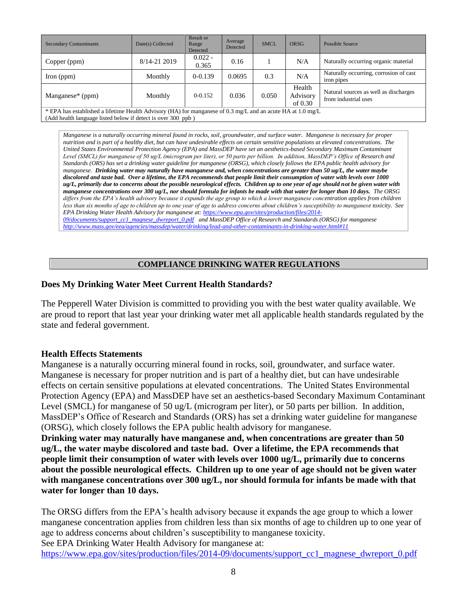| <b>Secondary Contaminants</b>                                                                                                                                               | Date(s) Collected | Result or<br>Range<br>Detected | Average<br>Detected | <b>SMCL</b> | ORSG                            | Possible Source                                               |  |
|-----------------------------------------------------------------------------------------------------------------------------------------------------------------------------|-------------------|--------------------------------|---------------------|-------------|---------------------------------|---------------------------------------------------------------|--|
| Copper (ppm)                                                                                                                                                                | 8/14-21 2019      | $0.022 -$<br>0.365             | 0.16                |             | N/A                             | Naturally occurring organic material                          |  |
| $\Gamma$ (ppm)                                                                                                                                                              | Monthly           | $0-0.139$                      | 0.0695              | 0.3         | N/A                             | Naturally occurring, corrosion of cast<br>iron pipes          |  |
| Manganese* (ppm)                                                                                                                                                            | Monthly           | $0 - 0.152$                    | 0.036               | 0.050       | Health<br>Advisory<br>of $0.30$ | Natural sources as well as discharges<br>from industrial uses |  |
| * EPA has established a lifetime Health Advisory (HA) for manganese of 0.3 mg/L and an acute HA at 1.0 mg/L<br>(Add health language listed below if detect is over 300 ppb) |                   |                                |                     |             |                                 |                                                               |  |
|                                                                                                                                                                             |                   |                                |                     |             |                                 |                                                               |  |

*Manganese is a naturally occurring mineral found in rocks, soil, groundwater, and surface water. Manganese is necessary for proper nutrition and is part of a healthy diet, but can have undesirable effects on certain sensitive populations at elevated concentrations. The United States Environmental Protection Agency (EPA) and MassDEP have set an aesthetics-based Secondary Maximum Contaminant Level (SMCL) for manganese of 50 ug/L (microgram per liter), or 50 parts per billion. In addition, MassDEP's Office of Research and Standards (ORS) has set a drinking water guideline for manganese (ORSG), which closely follows the EPA public health advisory for manganese. Drinking water may naturally have manganese and, when concentrations are greater than 50 ug/L, the water maybe discolored and taste bad. Over a lifetime, the EPA recommends that people limit their consumption of water with levels over 1000 ug/L, primarily due to concerns about the possible neurological effects. Children up to one year of age should not be given water with manganese concentrations over 300 ug/L, nor should formula for infants be made with that water for longer than 10 days. The ORSG differs from the EPA's health advisory because it expands the age group to which a lower manganese concentration applies from children less than six months of age to children up to one year of age to address concerns about children's susceptibility to manganese toxicity. See EPA Drinking Water Health Advisory for manganese at[: https://www.epa.gov/sites/production/files/2014-](https://www.epa.gov/sites/production/files/2014-09/documents/support_cc1_magnese_dwreport_0.pdf) [09/documents/support\\_cc1\\_magnese\\_dwreport\\_0.pdf](https://www.epa.gov/sites/production/files/2014-09/documents/support_cc1_magnese_dwreport_0.pdf) and MassDEP Office of Research and Standards (ORSG) for manganese <http://www.mass.gov/eea/agencies/massdep/water/drinking/lead-and-other-contaminants-in-drinking-water.html#11>*

## **COMPLIANCE DRINKING WATER REGULATIONS**

## **Does My Drinking Water Meet Current Health Standards?**

The Pepperell Water Division is committed to providing you with the best water quality available. We are proud to report that last year your drinking water met all applicable health standards regulated by the state and federal government.

### **Health Effects Statements**

Manganese is a naturally occurring mineral found in rocks, soil, groundwater, and surface water. Manganese is necessary for proper nutrition and is part of a healthy diet, but can have undesirable effects on certain sensitive populations at elevated concentrations. The United States Environmental Protection Agency (EPA) and MassDEP have set an aesthetics-based Secondary Maximum Contaminant Level (SMCL) for manganese of 50 ug/L (microgram per liter), or 50 parts per billion. In addition, MassDEP's Office of Research and Standards (ORS) has set a drinking water guideline for manganese (ORSG), which closely follows the EPA public health advisory for manganese.

**Drinking water may naturally have manganese and, when concentrations are greater than 50 ug/L, the water maybe discolored and taste bad. Over a lifetime, the EPA recommends that people limit their consumption of water with levels over 1000 ug/L, primarily due to concerns about the possible neurological effects. Children up to one year of age should not be given water with manganese concentrations over 300 ug/L, nor should formula for infants be made with that water for longer than 10 days.** 

The ORSG differs from the EPA's health advisory because it expands the age group to which a lower manganese concentration applies from children less than six months of age to children up to one year of age to address concerns about children's susceptibility to manganese toxicity.

See EPA Drinking Water Health Advisory for manganese at:

[https://www.epa.gov/sites/production/files/2014-09/documents/support\\_cc1\\_magnese\\_dwreport\\_0.pdf](https://www.epa.gov/sites/production/files/2014-09/documents/support_cc1_magnese_dwreport_0.pdf)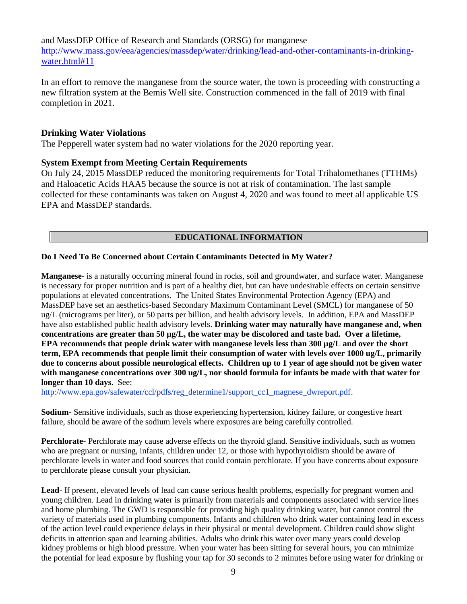and MassDEP Office of Research and Standards (ORSG) for manganese [http://www.mass.gov/eea/agencies/massdep/water/drinking/lead-and-other-contaminants-in-drinking](http://www.mass.gov/eea/agencies/massdep/water/drinking/lead-and-other-contaminants-in-drinking-water.html#11)[water.html#11](http://www.mass.gov/eea/agencies/massdep/water/drinking/lead-and-other-contaminants-in-drinking-water.html#11)

In an effort to remove the manganese from the source water, the town is proceeding with constructing a new filtration system at the Bemis Well site. Construction commenced in the fall of 2019 with final completion in 2021.

## **Drinking Water Violations**

The Pepperell water system had no water violations for the 2020 reporting year.

## **System Exempt from Meeting Certain Requirements**

On July 24, 2015 MassDEP reduced the monitoring requirements for Total Trihalomethanes (TTHMs) and Haloacetic Acids HAA5 because the source is not at risk of contamination. The last sample collected for these contaminants was taken on August 4, 2020 and was found to meet all applicable US EPA and MassDEP standards.

# **EDUCATIONAL INFORMATION**

### **Do I Need To Be Concerned about Certain Contaminants Detected in My Water?**

**Manganese**- is a naturally occurring mineral found in rocks, soil and groundwater, and surface water. Manganese is necessary for proper nutrition and is part of a healthy diet, but can have undesirable effects on certain sensitive populations at elevated concentrations. The United States Environmental Protection Agency (EPA) and MassDEP have set an aesthetics-based Secondary Maximum Contaminant Level (SMCL) for manganese of 50 ug/L (micrograms per liter), or 50 parts per billion, and health advisory levels. In addition, EPA and MassDEP have also established public health advisory levels. **Drinking water may naturally have manganese and, when concentrations are greater than 50 µg/L, the water may be discolored and taste bad. Over a lifetime, EPA recommends that people drink water with manganese levels less than 300 µg/L and over the short term, EPA recommends that people limit their consumption of water with levels over 1000 ug/L, primarily due to concerns about possible neurological effects. Children up to 1 year of age should not be given water with manganese concentrations over 300 ug/L, nor should formula for infants be made with that water for longer than 10 days.** See:

[http://www.epa.gov/safewater/ccl/pdfs/reg\\_determine1/support\\_cc1\\_magnese\\_dwreport.pdf.](http://www.epa.gov/safewater/ccl/pdfs/reg_determine1/support_cc1_magnese_dwreport.pdf)

**Sodium-** Sensitive individuals, such as those experiencing hypertension, kidney failure, or congestive heart failure, should be aware of the sodium levels where exposures are being carefully controlled.

**Perchlorate-** Perchlorate may cause adverse effects on the thyroid gland. Sensitive individuals, such as women who are pregnant or nursing, infants, children under 12, or those with hypothyroidism should be aware of perchlorate levels in water and food sources that could contain perchlorate. If you have concerns about exposure to perchlorate please consult your physician.

**Lead-** If present, elevated levels of lead can cause serious health problems, especially for pregnant women and young children. Lead in drinking water is primarily from materials and components associated with service lines and home plumbing. The GWD is responsible for providing high quality drinking water, but cannot control the variety of materials used in plumbing components. Infants and children who drink water containing lead in excess of the action level could experience delays in their physical or mental development. Children could show slight deficits in attention span and learning abilities. Adults who drink this water over many years could develop kidney problems or high blood pressure. When your water has been sitting for several hours, you can minimize the potential for lead exposure by flushing your tap for 30 seconds to 2 minutes before using water for drinking or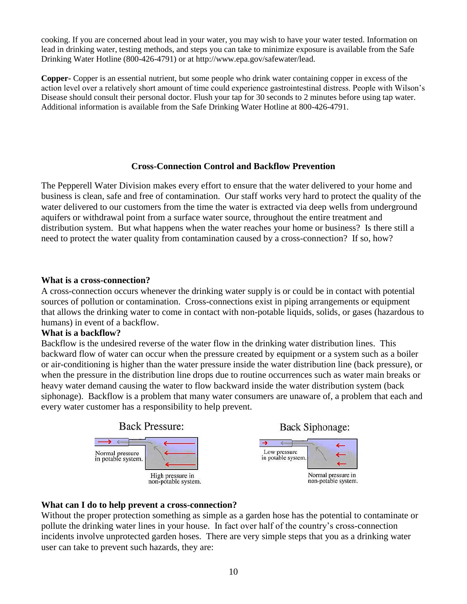cooking. If you are concerned about lead in your water, you may wish to have your water tested. Information on lead in drinking water, testing methods, and steps you can take to minimize exposure is available from the Safe Drinking Water Hotline (800-426-4791) or at http://www.epa.gov/safewater/lead.

**Copper-** Copper is an essential nutrient, but some people who drink water containing copper in excess of the action level over a relatively short amount of time could experience gastrointestinal distress. People with Wilson's Disease should consult their personal doctor. Flush your tap for 30 seconds to 2 minutes before using tap water. Additional information is available from the Safe Drinking Water Hotline at 800-426-4791.

## **Cross-Connection Control and Backflow Prevention**

The Pepperell Water Division makes every effort to ensure that the water delivered to your home and business is clean, safe and free of contamination. Our staff works very hard to protect the quality of the water delivered to our customers from the time the water is extracted via deep wells from underground aquifers or withdrawal point from a surface water source, throughout the entire treatment and distribution system. But what happens when the water reaches your home or business? Is there still a need to protect the water quality from contamination caused by a cross-connection? If so, how?

## **What is a cross-connection?**

A cross-connection occurs whenever the drinking water supply is or could be in contact with potential sources of pollution or contamination. Cross-connections exist in piping arrangements or equipment that allows the drinking water to come in contact with non-potable liquids, solids, or gases (hazardous to humans) in event of a backflow.

### **What is a backflow?**

Backflow is the undesired reverse of the water flow in the drinking water distribution lines. This backward flow of water can occur when the pressure created by equipment or a system such as a boiler or air-conditioning is higher than the water pressure inside the water distribution line (back pressure), or when the pressure in the distribution line drops due to routine occurrences such as water main breaks or heavy water demand causing the water to flow backward inside the water distribution system (back siphonage). Backflow is a problem that many water consumers are unaware of, a problem that each and every water customer has a responsibility to help prevent.



# **What can I do to help prevent a cross-connection?**

Without the proper protection something as simple as a garden hose has the potential to contaminate or pollute the drinking water lines in your house. In fact over half of the country's cross-connection incidents involve unprotected garden hoses. There are very simple steps that you as a drinking water user can take to prevent such hazards, they are: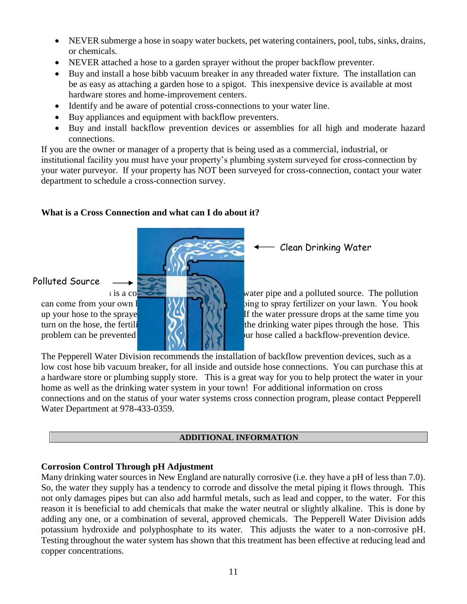- NEVER submerge a hose in soapy water buckets, pet watering containers, pool, tubs, sinks, drains, or chemicals.
- NEVER attached a hose to a garden sprayer without the proper backflow preventer.
- Buy and install a hose bibb vacuum breaker in any threaded water fixture. The installation can be as easy as attaching a garden hose to a spigot. This inexpensive device is available at most hardware stores and home-improvement centers.
- Identify and be aware of potential cross-connections to your water line.
- Buy appliances and equipment with backflow preventers.
- Buy and install backflow prevention devices or assemblies for all high and moderate hazard connections.

If you are the owner or manager of a property that is being used as a commercial, industrial, or institutional facility you must have your property's plumbing system surveyed for cross-connection by your water purveyor. If your property has NOT been surveyed for cross-connection, contact your water department to schedule a cross-connection survey.

# **What is a Cross Connection and what can I do about it?**



# Polluted Source

Clean Drinking Water

 $\mu$  is a connection between a drinking water pipe and a polluted source. The pollution can come from your own  $\frac{1}{\sqrt{1-\frac{1}{\sqrt{1-\frac{1}{\sqrt{1-\frac{1}{\sqrt{1-\frac{1}{\sqrt{1-\frac{1}{\sqrt{1-\frac{1}{\sqrt{1-\frac{1}{\sqrt{1-\frac{1}{\sqrt{1-\frac{1}{\sqrt{1-\frac{1}{\sqrt{1-\frac{1}{\sqrt{1-\frac{1}{\sqrt{1-\frac{1}{\sqrt{1-\frac{1}{\sqrt{1-\frac{1}{\sqrt{1-\frac{1}{\sqrt{1-\frac{1}{\sqrt{1-\frac{1}{\sqrt{1-\frac{1}{\sqrt{1-\frac{1}{\sqrt{1-\frac{1}{\sqrt{$ up your hose to the spraye  $\|$   $\|$   $\|$   $\|$   $\|$  if the water pressure drops at the same time you turn on the hose, the fertilizer may be such that the drinking water pipes through the hose. This problem can be prevented  $\mathbb{C}$   $\mathbb{C}$   $\mathbb{C}$  is a bur hose called a backflow-prevention device.

The Pepperell Water Division recommends the installation of backflow prevention devices, such as a low cost hose bib vacuum breaker, for all inside and outside hose connections. You can purchase this at a hardware store or plumbing supply store. This is a great way for you to help protect the water in your home as well as the drinking water system in your town! For additional information on cross connections and on the status of your water systems cross connection program, please contact Pepperell Water Department at 978-433-0359.

# **ADDITIONAL INFORMATION**

# **Corrosion Control Through pH Adjustment**

Many drinking water sources in New England are naturally corrosive (i.e. they have a pH of less than 7.0). So, the water they supply has a tendency to corrode and dissolve the metal piping it flows through. This not only damages pipes but can also add harmful metals, such as lead and copper, to the water. For this reason it is beneficial to add chemicals that make the water neutral or slightly alkaline. This is done by adding any one, or a combination of several, approved chemicals. The Pepperell Water Division adds potassium hydroxide and polyphosphate to its water. This adjusts the water to a non-corrosive pH. Testing throughout the water system has shown that this treatment has been effective at reducing lead and copper concentrations.